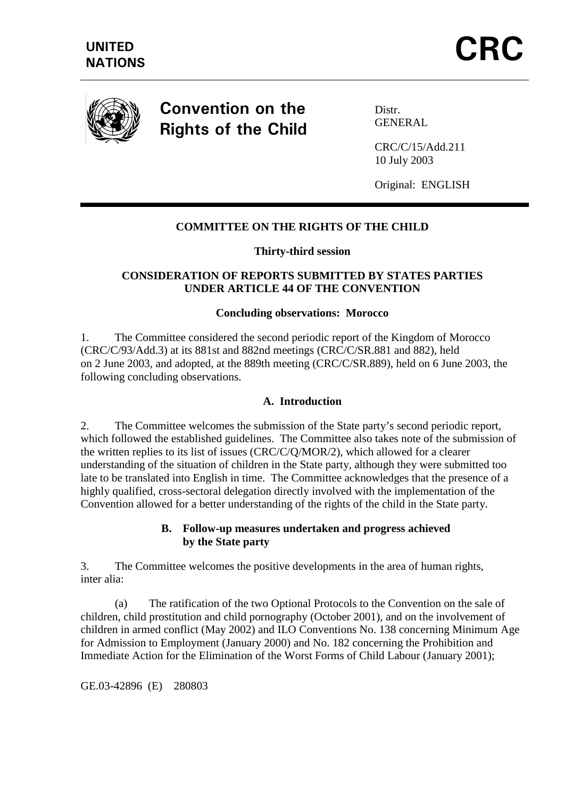

Convention on the **Rights of the Child** 

Distr. **GENERAL** 

CRC/C/15/Add.211 10 July 2003

Original: ENGLISH

# **COMMITTEE ON THE RIGHTS OF THE CHILD**

#### **Thirty-third session**

## **CONSIDERATION OF REPORTS SUBMITTED BY STATES PARTIES UNDER ARTICLE 44 OF THE CONVENTION**

#### **Concluding observations: Morocco**

1. The Committee considered the second periodic report of the Kingdom of Morocco (CRC/C/93/Add.3) at its 881st and 882nd meetings (CRC/C/SR.881 and 882), held on 2 June 2003, and adopted, at the 889th meeting (CRC/C/SR.889), held on 6 June 2003, the following concluding observations.

#### **A. Introduction**

2. The Committee welcomes the submission of the State party's second periodic report, which followed the established guidelines. The Committee also takes note of the submission of the written replies to its list of issues (CRC/C/Q/MOR/2), which allowed for a clearer understanding of the situation of children in the State party, although they were submitted too late to be translated into English in time. The Committee acknowledges that the presence of a highly qualified, cross-sectoral delegation directly involved with the implementation of the Convention allowed for a better understanding of the rights of the child in the State party.

### **B. Follow-up measures undertaken and progress achieved by the State party**

3. The Committee welcomes the positive developments in the area of human rights, inter alia:

 (a) The ratification of the two Optional Protocols to the Convention on the sale of children, child prostitution and child pornography (October 2001), and on the involvement of children in armed conflict (May 2002) and ILO Conventions No. 138 concerning Minimum Age for Admission to Employment (January 2000) and No. 182 concerning the Prohibition and Immediate Action for the Elimination of the Worst Forms of Child Labour (January 2001);

GE.03-42896 (E) 280803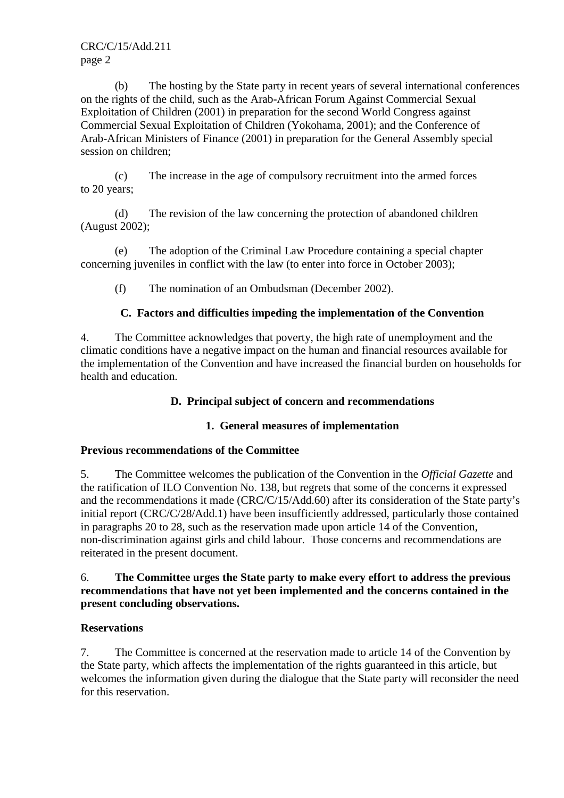(b) The hosting by the State party in recent years of several international conferences on the rights of the child, such as the Arab-African Forum Against Commercial Sexual Exploitation of Children (2001) in preparation for the second World Congress against Commercial Sexual Exploitation of Children (Yokohama, 2001); and the Conference of Arab-African Ministers of Finance (2001) in preparation for the General Assembly special session on children;

 (c) The increase in the age of compulsory recruitment into the armed forces to 20 years;

 (d) The revision of the law concerning the protection of abandoned children (August 2002);

 (e) The adoption of the Criminal Law Procedure containing a special chapter concerning juveniles in conflict with the law (to enter into force in October 2003);

(f) The nomination of an Ombudsman (December 2002).

## **C. Factors and difficulties impeding the implementation of the Convention**

4. The Committee acknowledges that poverty, the high rate of unemployment and the climatic conditions have a negative impact on the human and financial resources available for the implementation of the Convention and have increased the financial burden on households for health and education.

## **D. Principal subject of concern and recommendations**

## **1. General measures of implementation**

## **Previous recommendations of the Committee**

5. The Committee welcomes the publication of the Convention in the *Official Gazette* and the ratification of ILO Convention No. 138, but regrets that some of the concerns it expressed and the recommendations it made (CRC/C/15/Add.60) after its consideration of the State party's initial report (CRC/C/28/Add.1) have been insufficiently addressed, particularly those contained in paragraphs 20 to 28, such as the reservation made upon article 14 of the Convention, non-discrimination against girls and child labour. Those concerns and recommendations are reiterated in the present document.

#### 6. **The Committee urges the State party to make every effort to address the previous recommendations that have not yet been implemented and the concerns contained in the present concluding observations.**

## **Reservations**

7. The Committee is concerned at the reservation made to article 14 of the Convention by the State party, which affects the implementation of the rights guaranteed in this article, but welcomes the information given during the dialogue that the State party will reconsider the need for this reservation.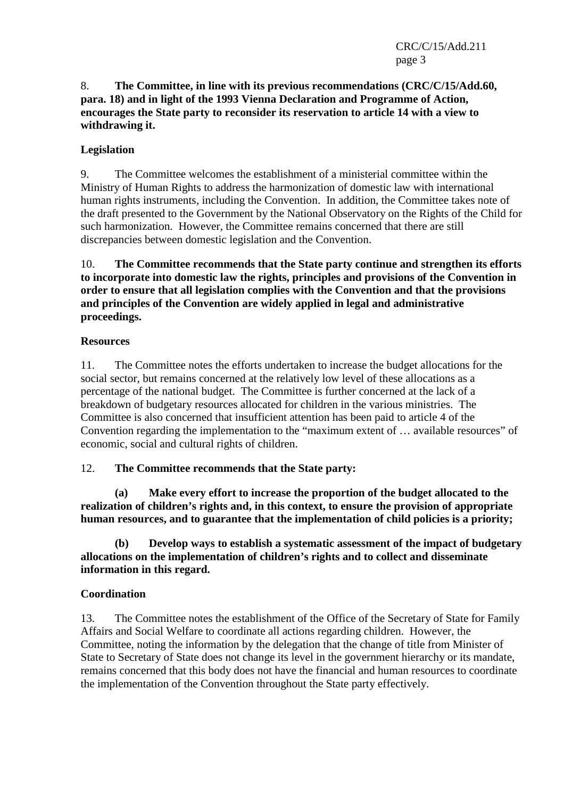## 8. **The Committee, in line with its previous recommendations (CRC/C/15/Add.60, para. 18) and in light of the 1993 Vienna Declaration and Programme of Action, encourages the State party to reconsider its reservation to article 14 with a view to withdrawing it.**

# **Legislation**

9. The Committee welcomes the establishment of a ministerial committee within the Ministry of Human Rights to address the harmonization of domestic law with international human rights instruments, including the Convention. In addition, the Committee takes note of the draft presented to the Government by the National Observatory on the Rights of the Child for such harmonization. However, the Committee remains concerned that there are still discrepancies between domestic legislation and the Convention.

10. **The Committee recommends that the State party continue and strengthen its efforts to incorporate into domestic law the rights, principles and provisions of the Convention in order to ensure that all legislation complies with the Convention and that the provisions and principles of the Convention are widely applied in legal and administrative proceedings.** 

## **Resources**

11. The Committee notes the efforts undertaken to increase the budget allocations for the social sector, but remains concerned at the relatively low level of these allocations as a percentage of the national budget. The Committee is further concerned at the lack of a breakdown of budgetary resources allocated for children in the various ministries. The Committee is also concerned that insufficient attention has been paid to article 4 of the Convention regarding the implementation to the "maximum extent of … available resources" of economic, social and cultural rights of children.

## 12. **The Committee recommends that the State party:**

**(a) Make every effort to increase the proportion of the budget allocated to the realization of children's rights and, in this context, to ensure the provision of appropriate human resources, and to guarantee that the implementation of child policies is a priority;** 

 **(b) Develop ways to establish a systematic assessment of the impact of budgetary allocations on the implementation of children's rights and to collect and disseminate information in this regard.** 

## **Coordination**

13. The Committee notes the establishment of the Office of the Secretary of State for Family Affairs and Social Welfare to coordinate all actions regarding children. However, the Committee, noting the information by the delegation that the change of title from Minister of State to Secretary of State does not change its level in the government hierarchy or its mandate, remains concerned that this body does not have the financial and human resources to coordinate the implementation of the Convention throughout the State party effectively.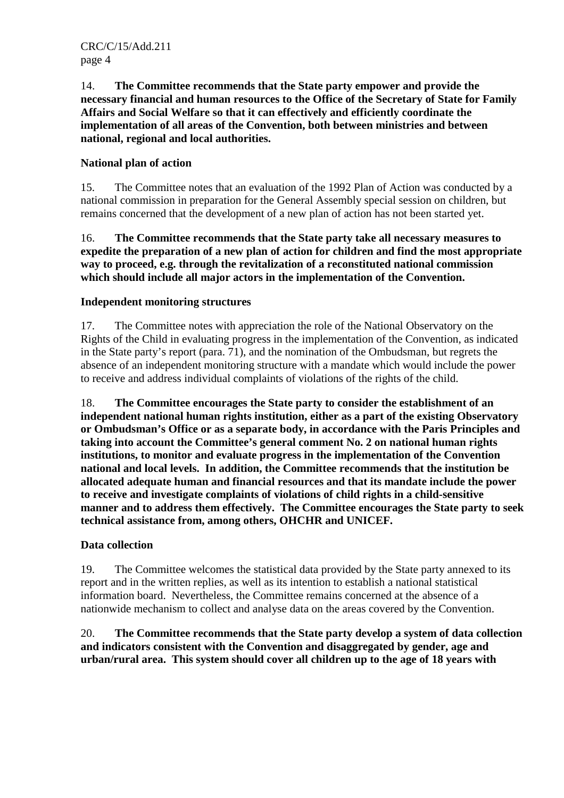14. **The Committee recommends that the State party empower and provide the necessary financial and human resources to the Office of the Secretary of State for Family Affairs and Social Welfare so that it can effectively and efficiently coordinate the implementation of all areas of the Convention, both between ministries and between national, regional and local authorities.** 

# **National plan of action**

15. The Committee notes that an evaluation of the 1992 Plan of Action was conducted by a national commission in preparation for the General Assembly special session on children, but remains concerned that the development of a new plan of action has not been started yet.

16. **The Committee recommends that the State party take all necessary measures to expedite the preparation of a new plan of action for children and find the most appropriate way to proceed, e.g. through the revitalization of a reconstituted national commission which should include all major actors in the implementation of the Convention.** 

## **Independent monitoring structures**

17. The Committee notes with appreciation the role of the National Observatory on the Rights of the Child in evaluating progress in the implementation of the Convention, as indicated in the State party's report (para. 71), and the nomination of the Ombudsman, but regrets the absence of an independent monitoring structure with a mandate which would include the power to receive and address individual complaints of violations of the rights of the child.

18. **The Committee encourages the State party to consider the establishment of an independent national human rights institution, either as a part of the existing Observatory or Ombudsman's Office or as a separate body, in accordance with the Paris Principles and taking into account the Committee's general comment No. 2 on national human rights institutions, to monitor and evaluate progress in the implementation of the Convention national and local levels. In addition, the Committee recommends that the institution be allocated adequate human and financial resources and that its mandate include the power to receive and investigate complaints of violations of child rights in a child-sensitive manner and to address them effectively. The Committee encourages the State party to seek technical assistance from, among others, OHCHR and UNICEF.** 

# **Data collection**

19. The Committee welcomes the statistical data provided by the State party annexed to its report and in the written replies, as well as its intention to establish a national statistical information board. Nevertheless, the Committee remains concerned at the absence of a nationwide mechanism to collect and analyse data on the areas covered by the Convention.

20. **The Committee recommends that the State party develop a system of data collection and indicators consistent with the Convention and disaggregated by gender, age and urban/rural area. This system should cover all children up to the age of 18 years with**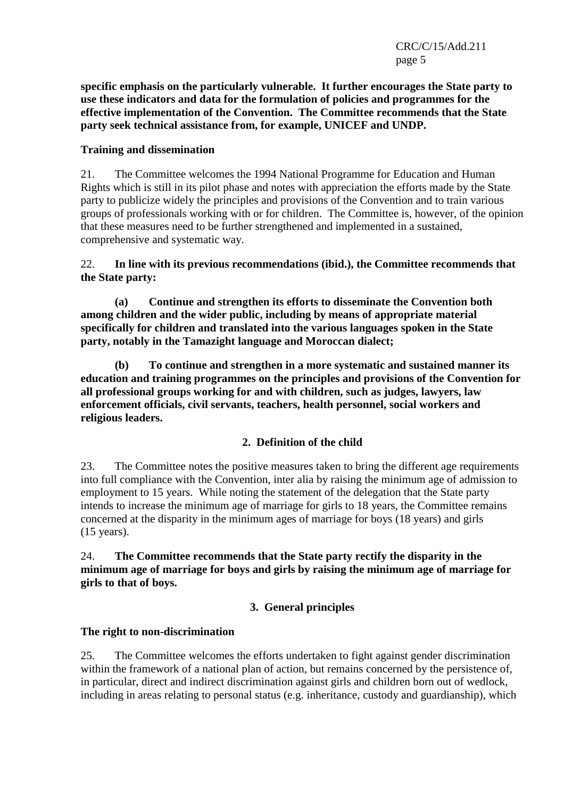**specific emphasis on the particularly vulnerable. It further encourages the State party to use these indicators and data for the formulation of policies and programmes for the effective implementation of the Convention. The Committee recommends that the State party seek technical assistance from, for example, UNICEF and UNDP.** 

## **Training and dissemination**

21. The Committee welcomes the 1994 National Programme for Education and Human Rights which is still in its pilot phase and notes with appreciation the efforts made by the State party to publicize widely the principles and provisions of the Convention and to train various groups of professionals working with or for children. The Committee is, however, of the opinion that these measures need to be further strengthened and implemented in a sustained, comprehensive and systematic way.

## 22. **In line with its previous recommendations (ibid.), the Committee recommends that the State party:**

 **(a) Continue and strengthen its efforts to disseminate the Convention both among children and the wider public, including by means of appropriate material specifically for children and translated into the various languages spoken in the State party, notably in the Tamazight language and Moroccan dialect;** 

**(b) To continue and strengthen in a more systematic and sustained manner its education and training programmes on the principles and provisions of the Convention for all professional groups working for and with children, such as judges, lawyers, law enforcement officials, civil servants, teachers, health personnel, social workers and religious leaders.** 

# **2. Definition of the child**

23. The Committee notes the positive measures taken to bring the different age requirements into full compliance with the Convention, inter alia by raising the minimum age of admission to employment to 15 years. While noting the statement of the delegation that the State party intends to increase the minimum age of marriage for girls to 18 years, the Committee remains concerned at the disparity in the minimum ages of marriage for boys (18 years) and girls (15 years).

24. **The Committee recommends that the State party rectify the disparity in the minimum age of marriage for boys and girls by raising the minimum age of marriage for girls to that of boys.** 

# **3. General principles**

## **The right to non-discrimination**

25. The Committee welcomes the efforts undertaken to fight against gender discrimination within the framework of a national plan of action, but remains concerned by the persistence of, in particular, direct and indirect discrimination against girls and children born out of wedlock, including in areas relating to personal status (e.g. inheritance, custody and guardianship), which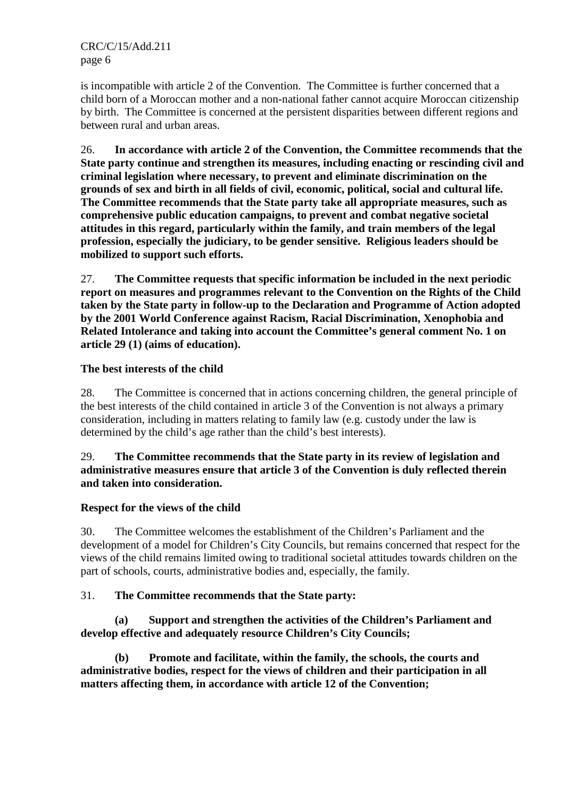is incompatible with article 2 of the Convention. The Committee is further concerned that a child born of a Moroccan mother and a non-national father cannot acquire Moroccan citizenship by birth. The Committee is concerned at the persistent disparities between different regions and between rural and urban areas.

26. **In accordance with article 2 of the Convention, the Committee recommends that the State party continue and strengthen its measures, including enacting or rescinding civil and criminal legislation where necessary, to prevent and eliminate discrimination on the grounds of sex and birth in all fields of civil, economic, political, social and cultural life. The Committee recommends that the State party take all appropriate measures, such as comprehensive public education campaigns, to prevent and combat negative societal attitudes in this regard, particularly within the family, and train members of the legal profession, especially the judiciary, to be gender sensitive. Religious leaders should be mobilized to support such efforts.** 

27. **The Committee requests that specific information be included in the next periodic report on measures and programmes relevant to the Convention on the Rights of the Child taken by the State party in follow-up to the Declaration and Programme of Action adopted by the 2001 World Conference against Racism, Racial Discrimination, Xenophobia and Related Intolerance and taking into account the Committee's general comment No. 1 on article 29 (1) (aims of education).** 

## **The best interests of the child**

28. The Committee is concerned that in actions concerning children, the general principle of the best interests of the child contained in article 3 of the Convention is not always a primary consideration, including in matters relating to family law (e.g. custody under the law is determined by the child's age rather than the child's best interests).

## 29. **The Committee recommends that the State party in its review of legislation and administrative measures ensure that article 3 of the Convention is duly reflected therein and taken into consideration.**

## **Respect for the views of the child**

30. The Committee welcomes the establishment of the Children's Parliament and the development of a model for Children's City Councils, but remains concerned that respect for the views of the child remains limited owing to traditional societal attitudes towards children on the part of schools, courts, administrative bodies and, especially, the family.

## 31. **The Committee recommends that the State party:**

## **(a) Support and strengthen the activities of the Children's Parliament and develop effective and adequately resource Children's City Councils;**

 **(b) Promote and facilitate, within the family, the schools, the courts and administrative bodies, respect for the views of children and their participation in all matters affecting them, in accordance with article 12 of the Convention;**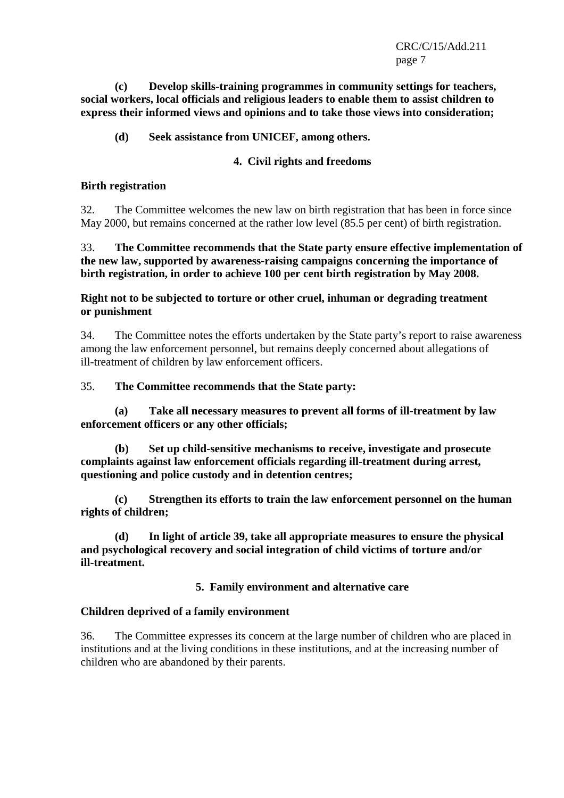**(c) Develop skills-training programmes in community settings for teachers, social workers, local officials and religious leaders to enable them to assist children to express their informed views and opinions and to take those views into consideration;** 

#### **(d) Seek assistance from UNICEF, among others.**

#### **4. Civil rights and freedoms**

#### **Birth registration**

32. The Committee welcomes the new law on birth registration that has been in force since May 2000, but remains concerned at the rather low level (85.5 per cent) of birth registration.

33. **The Committee recommends that the State party ensure effective implementation of the new law, supported by awareness-raising campaigns concerning the importance of birth registration, in order to achieve 100 per cent birth registration by May 2008.** 

**Right not to be subjected to torture or other cruel, inhuman or degrading treatment or punishment** 

34. The Committee notes the efforts undertaken by the State party's report to raise awareness among the law enforcement personnel, but remains deeply concerned about allegations of ill-treatment of children by law enforcement officers.

#### 35. **The Committee recommends that the State party:**

 **(a) Take all necessary measures to prevent all forms of ill-treatment by law enforcement officers or any other officials;** 

 **(b) Set up child-sensitive mechanisms to receive, investigate and prosecute complaints against law enforcement officials regarding ill-treatment during arrest, questioning and police custody and in detention centres;** 

 **(c) Strengthen its efforts to train the law enforcement personnel on the human rights of children;** 

 **(d) In light of article 39, take all appropriate measures to ensure the physical and psychological recovery and social integration of child victims of torture and/or ill-treatment.** 

## **5. Family environment and alternative care**

#### **Children deprived of a family environment**

36. The Committee expresses its concern at the large number of children who are placed in institutions and at the living conditions in these institutions, and at the increasing number of children who are abandoned by their parents.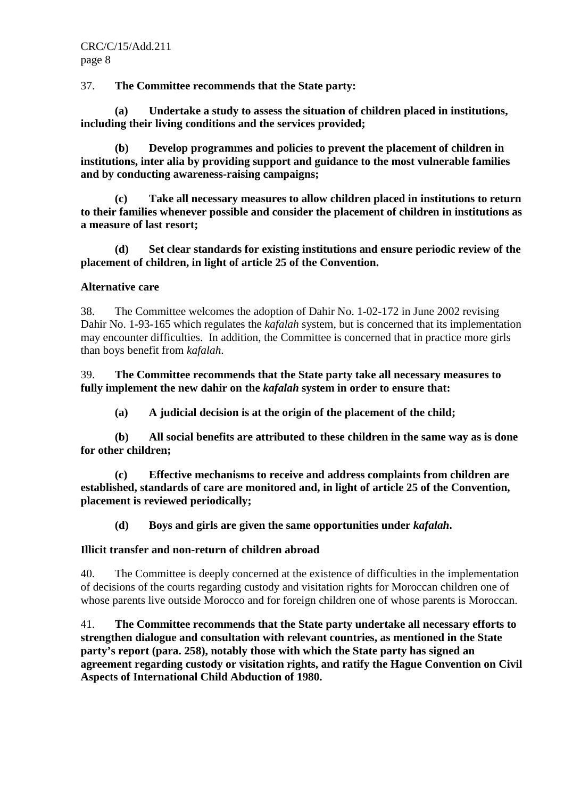37. **The Committee recommends that the State party:** 

 **(a) Undertake a study to assess the situation of children placed in institutions, including their living conditions and the services provided;** 

 **(b) Develop programmes and policies to prevent the placement of children in institutions, inter alia by providing support and guidance to the most vulnerable families and by conducting awareness-raising campaigns;** 

 **(c) Take all necessary measures to allow children placed in institutions to return to their families whenever possible and consider the placement of children in institutions as a measure of last resort;** 

 **(d) Set clear standards for existing institutions and ensure periodic review of the placement of children, in light of article 25 of the Convention.** 

## **Alternative care**

38. The Committee welcomes the adoption of Dahir No. 1-02-172 in June 2002 revising Dahir No. 1-93-165 which regulates the *kafalah* system, but is concerned that its implementation may encounter difficulties. In addition, the Committee is concerned that in practice more girls than boys benefit from *kafalah*.

39. **The Committee recommends that the State party take all necessary measures to fully implement the new dahir on the** *kafalah* **system in order to ensure that:** 

 **(a) A judicial decision is at the origin of the placement of the child;** 

 **(b) All social benefits are attributed to these children in the same way as is done for other children;** 

 **(c) Effective mechanisms to receive and address complaints from children are established, standards of care are monitored and, in light of article 25 of the Convention, placement is reviewed periodically;** 

 **(d) Boys and girls are given the same opportunities under** *kafalah***.** 

## **Illicit transfer and non-return of children abroad**

40. The Committee is deeply concerned at the existence of difficulties in the implementation of decisions of the courts regarding custody and visitation rights for Moroccan children one of whose parents live outside Morocco and for foreign children one of whose parents is Moroccan.

41. **The Committee recommends that the State party undertake all necessary efforts to strengthen dialogue and consultation with relevant countries, as mentioned in the State party's report (para. 258), notably those with which the State party has signed an agreement regarding custody or visitation rights, and ratify the Hague Convention on Civil Aspects of International Child Abduction of 1980.**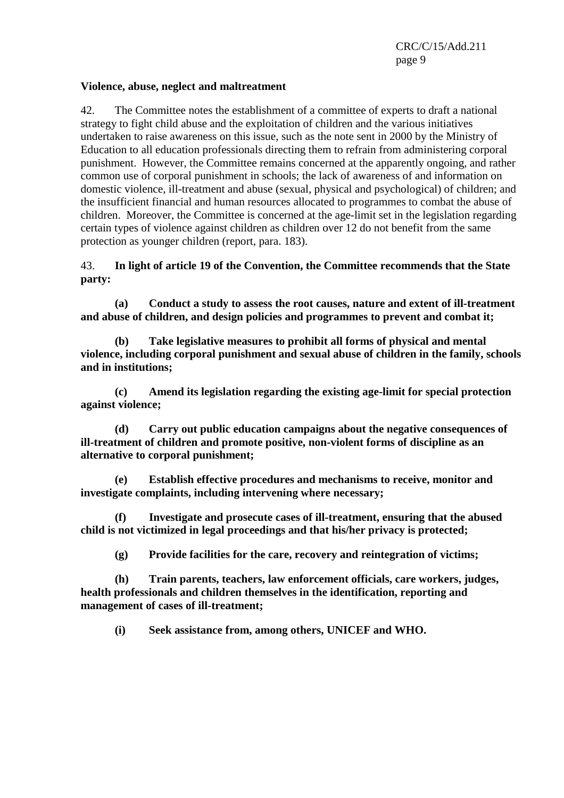#### **Violence, abuse, neglect and maltreatment**

42. The Committee notes the establishment of a committee of experts to draft a national strategy to fight child abuse and the exploitation of children and the various initiatives undertaken to raise awareness on this issue, such as the note sent in 2000 by the Ministry of Education to all education professionals directing them to refrain from administering corporal punishment. However, the Committee remains concerned at the apparently ongoing, and rather common use of corporal punishment in schools; the lack of awareness of and information on domestic violence, ill-treatment and abuse (sexual, physical and psychological) of children; and the insufficient financial and human resources allocated to programmes to combat the abuse of children. Moreover, the Committee is concerned at the age-limit set in the legislation regarding certain types of violence against children as children over 12 do not benefit from the same protection as younger children (report, para. 183).

#### 43. **In light of article 19 of the Convention, the Committee recommends that the State party:**

 **(a) Conduct a study to assess the root causes, nature and extent of ill-treatment and abuse of children, and design policies and programmes to prevent and combat it;** 

 **(b) Take legislative measures to prohibit all forms of physical and mental violence, including corporal punishment and sexual abuse of children in the family, schools and in institutions;** 

 **(c) Amend its legislation regarding the existing age-limit for special protection against violence;** 

 **(d) Carry out public education campaigns about the negative consequences of ill-treatment of children and promote positive, non-violent forms of discipline as an alternative to corporal punishment;** 

 **(e) Establish effective procedures and mechanisms to receive, monitor and investigate complaints, including intervening where necessary;** 

 **(f) Investigate and prosecute cases of ill-treatment, ensuring that the abused child is not victimized in legal proceedings and that his/her privacy is protected;** 

 **(g) Provide facilities for the care, recovery and reintegration of victims;** 

 **(h) Train parents, teachers, law enforcement officials, care workers, judges, health professionals and children themselves in the identification, reporting and management of cases of ill-treatment;** 

 **(i) Seek assistance from, among others, UNICEF and WHO.**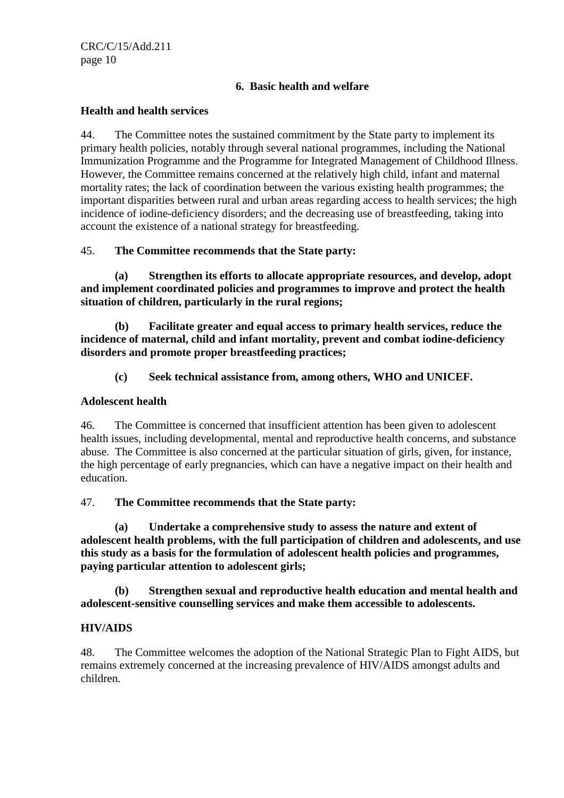## **6. Basic health and welfare**

#### **Health and health services**

44. The Committee notes the sustained commitment by the State party to implement its primary health policies, notably through several national programmes, including the National Immunization Programme and the Programme for Integrated Management of Childhood Illness. However, the Committee remains concerned at the relatively high child, infant and maternal mortality rates; the lack of coordination between the various existing health programmes; the important disparities between rural and urban areas regarding access to health services; the high incidence of iodine-deficiency disorders; and the decreasing use of breastfeeding, taking into account the existence of a national strategy for breastfeeding.

## 45. **The Committee recommends that the State party:**

 **(a) Strengthen its efforts to allocate appropriate resources, and develop, adopt and implement coordinated policies and programmes to improve and protect the health situation of children, particularly in the rural regions;** 

 **(b) Facilitate greater and equal access to primary health services, reduce the incidence of maternal, child and infant mortality, prevent and combat iodine-deficiency disorders and promote proper breastfeeding practices;** 

## **(c) Seek technical assistance from, among others, WHO and UNICEF.**

#### **Adolescent health**

46. The Committee is concerned that insufficient attention has been given to adolescent health issues, including developmental, mental and reproductive health concerns, and substance abuse. The Committee is also concerned at the particular situation of girls, given, for instance, the high percentage of early pregnancies, which can have a negative impact on their health and education.

## 47. **The Committee recommends that the State party:**

 **(a) Undertake a comprehensive study to assess the nature and extent of adolescent health problems, with the full participation of children and adolescents, and use this study as a basis for the formulation of adolescent health policies and programmes, paying particular attention to adolescent girls;** 

 **(b) Strengthen sexual and reproductive health education and mental health and adolescent-sensitive counselling services and make them accessible to adolescents.** 

## **HIV/AIDS**

48. The Committee welcomes the adoption of the National Strategic Plan to Fight AIDS, but remains extremely concerned at the increasing prevalence of HIV/AIDS amongst adults and children.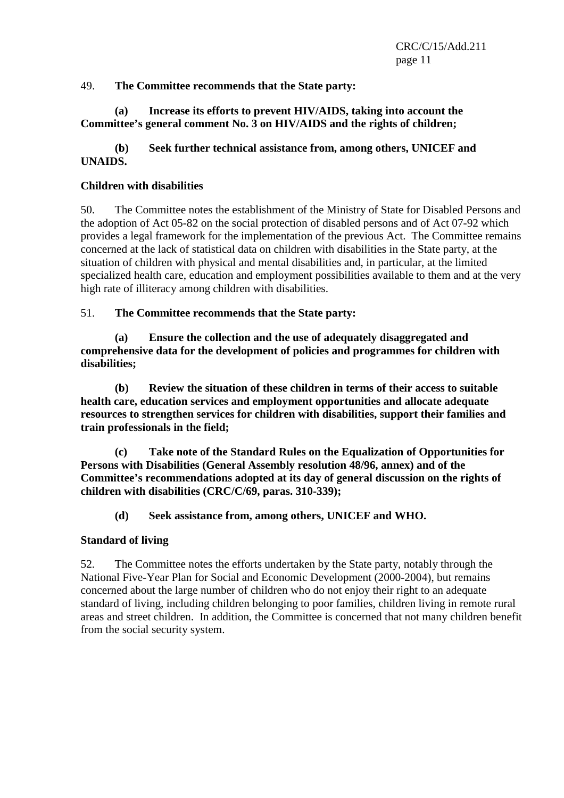## 49. **The Committee recommends that the State party:**

## **(a) Increase its efforts to prevent HIV/AIDS, taking into account the Committee's general comment No. 3 on HIV/AIDS and the rights of children;**

# **(b) Seek further technical assistance from, among others, UNICEF and UNAIDS.**

## **Children with disabilities**

50. The Committee notes the establishment of the Ministry of State for Disabled Persons and the adoption of Act 05-82 on the social protection of disabled persons and of Act 07-92 which provides a legal framework for the implementation of the previous Act. The Committee remains concerned at the lack of statistical data on children with disabilities in the State party, at the situation of children with physical and mental disabilities and, in particular, at the limited specialized health care, education and employment possibilities available to them and at the very high rate of illiteracy among children with disabilities.

51. **The Committee recommends that the State party:** 

 **(a) Ensure the collection and the use of adequately disaggregated and comprehensive data for the development of policies and programmes for children with disabilities;** 

 **(b) Review the situation of these children in terms of their access to suitable health care, education services and employment opportunities and allocate adequate resources to strengthen services for children with disabilities, support their families and train professionals in the field;** 

 **(c) Take note of the Standard Rules on the Equalization of Opportunities for Persons with Disabilities (General Assembly resolution 48/96, annex) and of the Committee's recommendations adopted at its day of general discussion on the rights of children with disabilities (CRC/C/69, paras. 310-339);** 

 **(d) Seek assistance from, among others, UNICEF and WHO.** 

## **Standard of living**

52. The Committee notes the efforts undertaken by the State party, notably through the National Five-Year Plan for Social and Economic Development (2000-2004), but remains concerned about the large number of children who do not enjoy their right to an adequate standard of living, including children belonging to poor families, children living in remote rural areas and street children. In addition, the Committee is concerned that not many children benefit from the social security system.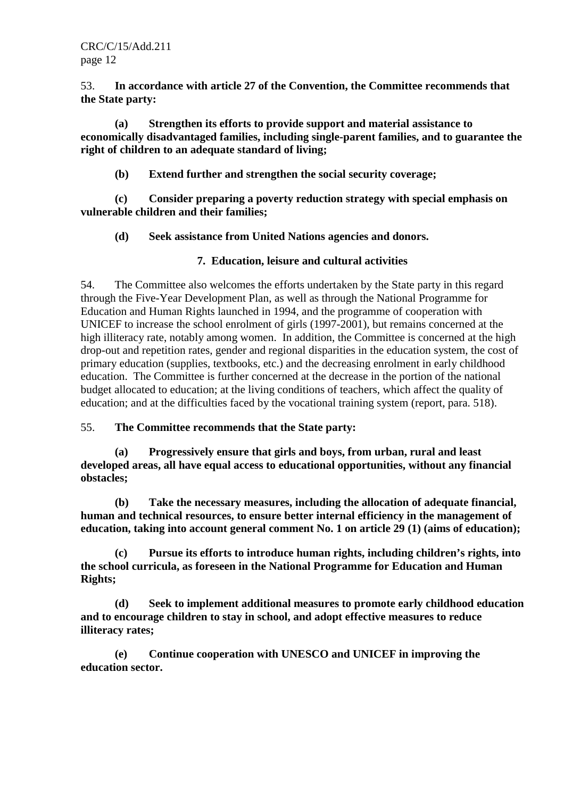53. **In accordance with article 27 of the Convention, the Committee recommends that the State party:** 

 **(a) Strengthen its efforts to provide support and material assistance to economically disadvantaged families, including single-parent families, and to guarantee the right of children to an adequate standard of living;** 

 **(b) Extend further and strengthen the social security coverage;** 

 **(c) Consider preparing a poverty reduction strategy with special emphasis on vulnerable children and their families;** 

 **(d) Seek assistance from United Nations agencies and donors.** 

## **7. Education, leisure and cultural activities**

54. The Committee also welcomes the efforts undertaken by the State party in this regard through the Five-Year Development Plan, as well as through the National Programme for Education and Human Rights launched in 1994, and the programme of cooperation with UNICEF to increase the school enrolment of girls (1997-2001), but remains concerned at the high illiteracy rate, notably among women. In addition, the Committee is concerned at the high drop-out and repetition rates, gender and regional disparities in the education system, the cost of primary education (supplies, textbooks, etc.) and the decreasing enrolment in early childhood education. The Committee is further concerned at the decrease in the portion of the national budget allocated to education; at the living conditions of teachers, which affect the quality of education; and at the difficulties faced by the vocational training system (report, para. 518).

55. **The Committee recommends that the State party:** 

 **(a) Progressively ensure that girls and boys, from urban, rural and least developed areas, all have equal access to educational opportunities, without any financial obstacles;** 

 **(b) Take the necessary measures, including the allocation of adequate financial, human and technical resources, to ensure better internal efficiency in the management of education, taking into account general comment No. 1 on article 29 (1) (aims of education);** 

 **(c) Pursue its efforts to introduce human rights, including children's rights, into the school curricula, as foreseen in the National Programme for Education and Human Rights;** 

 **(d) Seek to implement additional measures to promote early childhood education and to encourage children to stay in school, and adopt effective measures to reduce illiteracy rates;** 

 **(e) Continue cooperation with UNESCO and UNICEF in improving the education sector.**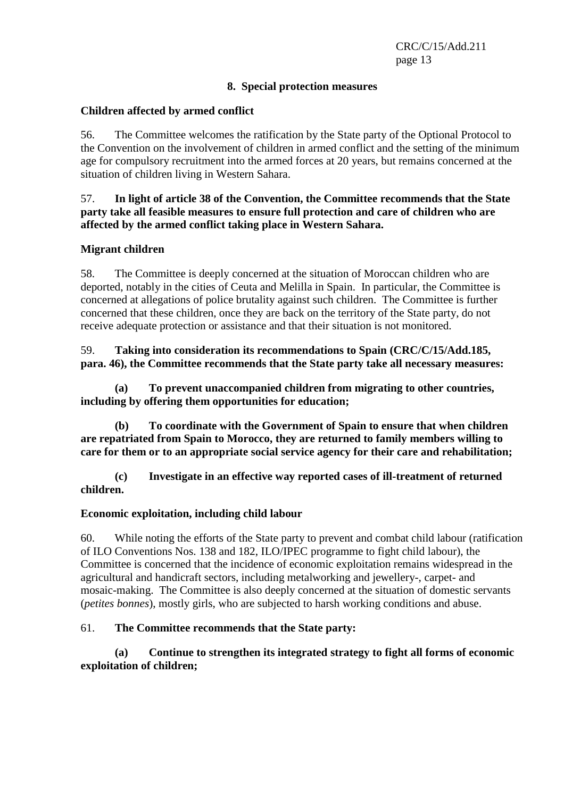## **8. Special protection measures**

## **Children affected by armed conflict**

56. The Committee welcomes the ratification by the State party of the Optional Protocol to the Convention on the involvement of children in armed conflict and the setting of the minimum age for compulsory recruitment into the armed forces at 20 years, but remains concerned at the situation of children living in Western Sahara.

#### 57. **In light of article 38 of the Convention, the Committee recommends that the State party take all feasible measures to ensure full protection and care of children who are affected by the armed conflict taking place in Western Sahara.**

#### **Migrant children**

58. The Committee is deeply concerned at the situation of Moroccan children who are deported, notably in the cities of Ceuta and Melilla in Spain. In particular, the Committee is concerned at allegations of police brutality against such children. The Committee is further concerned that these children, once they are back on the territory of the State party, do not receive adequate protection or assistance and that their situation is not monitored.

## 59. **Taking into consideration its recommendations to Spain (CRC/C/15/Add.185, para. 46), the Committee recommends that the State party take all necessary measures:**

 **(a) To prevent unaccompanied children from migrating to other countries, including by offering them opportunities for education;** 

 **(b) To coordinate with the Government of Spain to ensure that when children are repatriated from Spain to Morocco, they are returned to family members willing to care for them or to an appropriate social service agency for their care and rehabilitation;** 

 **(c) Investigate in an effective way reported cases of ill-treatment of returned children.** 

#### **Economic exploitation, including child labour**

60. While noting the efforts of the State party to prevent and combat child labour (ratification of ILO Conventions Nos. 138 and 182, ILO/IPEC programme to fight child labour), the Committee is concerned that the incidence of economic exploitation remains widespread in the agricultural and handicraft sectors, including metalworking and jewellery-, carpet- and mosaic-making. The Committee is also deeply concerned at the situation of domestic servants (*petites bonnes*), mostly girls, who are subjected to harsh working conditions and abuse.

## 61. **The Committee recommends that the State party:**

 **(a) Continue to strengthen its integrated strategy to fight all forms of economic exploitation of children;**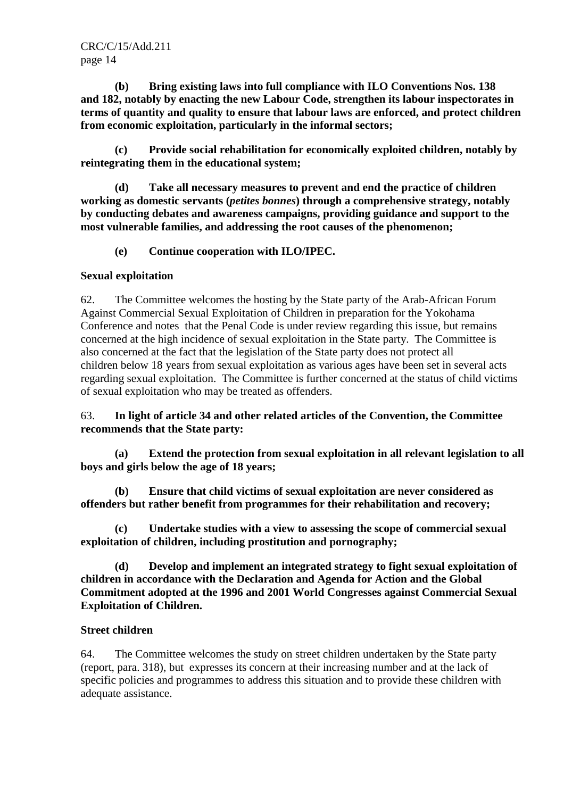**(b) Bring existing laws into full compliance with ILO Conventions Nos. 138 and 182, notably by enacting the new Labour Code, strengthen its labour inspectorates in terms of quantity and quality to ensure that labour laws are enforced, and protect children from economic exploitation, particularly in the informal sectors;** 

 **(c) Provide social rehabilitation for economically exploited children, notably by reintegrating them in the educational system;** 

 **(d) Take all necessary measures to prevent and end the practice of children working as domestic servants (***petites bonnes***) through a comprehensive strategy, notably by conducting debates and awareness campaigns, providing guidance and support to the most vulnerable families, and addressing the root causes of the phenomenon;** 

 **(e) Continue cooperation with ILO/IPEC.** 

#### **Sexual exploitation**

62. The Committee welcomes the hosting by the State party of the Arab-African Forum Against Commercial Sexual Exploitation of Children in preparation for the Yokohama Conference and notes that the Penal Code is under review regarding this issue, but remains concerned at the high incidence of sexual exploitation in the State party. The Committee is also concerned at the fact that the legislation of the State party does not protect all children below 18 years from sexual exploitation as various ages have been set in several acts regarding sexual exploitation. The Committee is further concerned at the status of child victims of sexual exploitation who may be treated as offenders.

63. **In light of article 34 and other related articles of the Convention, the Committee recommends that the State party:** 

 **(a) Extend the protection from sexual exploitation in all relevant legislation to all boys and girls below the age of 18 years;** 

 **(b) Ensure that child victims of sexual exploitation are never considered as offenders but rather benefit from programmes for their rehabilitation and recovery;** 

Undertake studies with a view to assessing the scope of commercial sexual **exploitation of children, including prostitution and pornography;** 

 **(d) Develop and implement an integrated strategy to fight sexual exploitation of children in accordance with the Declaration and Agenda for Action and the Global Commitment adopted at the 1996 and 2001 World Congresses against Commercial Sexual Exploitation of Children.** 

#### **Street children**

64. The Committee welcomes the study on street children undertaken by the State party (report, para. 318), but expresses its concern at their increasing number and at the lack of specific policies and programmes to address this situation and to provide these children with adequate assistance.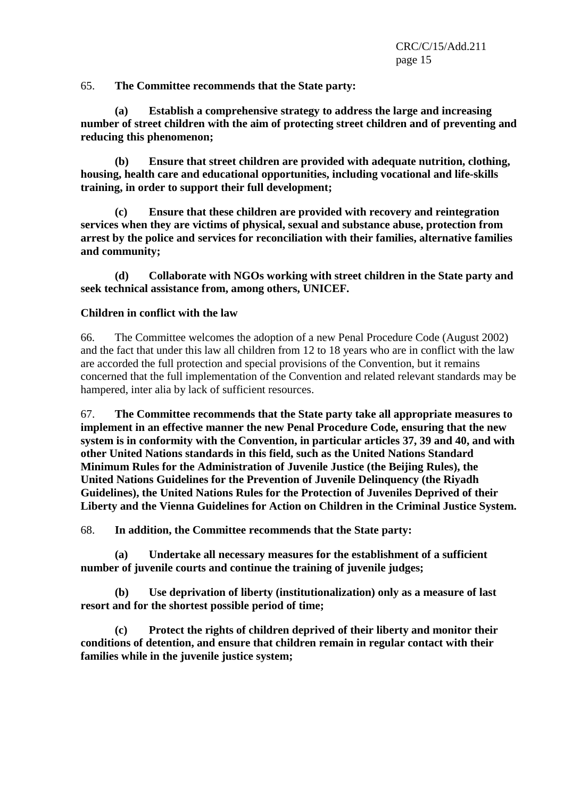65. **The Committee recommends that the State party:** 

 **(a) Establish a comprehensive strategy to address the large and increasing number of street children with the aim of protecting street children and of preventing and reducing this phenomenon;** 

 **(b) Ensure that street children are provided with adequate nutrition, clothing, housing, health care and educational opportunities, including vocational and life-skills training, in order to support their full development;** 

 **(c) Ensure that these children are provided with recovery and reintegration services when they are victims of physical, sexual and substance abuse, protection from arrest by the police and services for reconciliation with their families, alternative families and community;** 

 **(d) Collaborate with NGOs working with street children in the State party and seek technical assistance from, among others, UNICEF.** 

#### **Children in conflict with the law**

66. The Committee welcomes the adoption of a new Penal Procedure Code (August 2002) and the fact that under this law all children from 12 to 18 years who are in conflict with the law are accorded the full protection and special provisions of the Convention, but it remains concerned that the full implementation of the Convention and related relevant standards may be hampered, inter alia by lack of sufficient resources.

67. **The Committee recommends that the State party take all appropriate measures to implement in an effective manner the new Penal Procedure Code, ensuring that the new system is in conformity with the Convention, in particular articles 37, 39 and 40, and with other United Nations standards in this field, such as the United Nations Standard Minimum Rules for the Administration of Juvenile Justice (the Beijing Rules), the United Nations Guidelines for the Prevention of Juvenile Delinquency (the Riyadh Guidelines), the United Nations Rules for the Protection of Juveniles Deprived of their Liberty and the Vienna Guidelines for Action on Children in the Criminal Justice System.** 

68. **In addition, the Committee recommends that the State party:** 

 **(a) Undertake all necessary measures for the establishment of a sufficient number of juvenile courts and continue the training of juvenile judges;** 

 **(b) Use deprivation of liberty (institutionalization) only as a measure of last resort and for the shortest possible period of time;** 

 **(c) Protect the rights of children deprived of their liberty and monitor their conditions of detention, and ensure that children remain in regular contact with their families while in the juvenile justice system;**